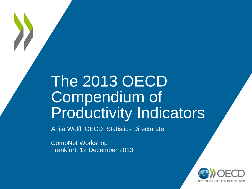# The 2013 OECD Compendium of Productivity Indicators

Anita Wölfl, OECD Statistics Directorate

CompNet Workshop Frankfurt, 12 December 2013

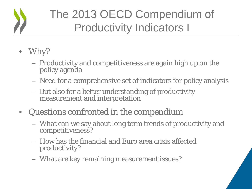## The 2013 OECD Compendium of Productivity Indicators I

- Why?
	- Productivity and competitiveness are again high up on the policy agenda
	- Need for a comprehensive set of indicators for policy analysis
	- But also for a better understanding of productivity measurement and interpretation
- Questions confronted in the compendium
	- What can we say about long term trends of productivity and competitiveness?
	- How has the financial and Euro area crisis affected productivity?
	- What are key remaining measurement issues?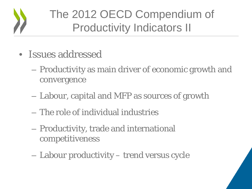

## The 2012 OECD Compendium of Productivity Indicators II

- Issues addressed
	- Productivity as main driver of economic growth and convergence
	- Labour, capital and MFP as sources of growth
	- The role of individual industries
	- Productivity, trade and international competitiveness
	- Labour productivity trend versus cycle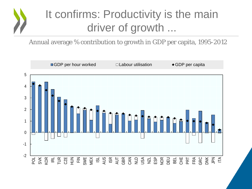## It confirms: Productivity is the main driver of growth ...

Annual average % contribution to growth in GDP per capita, 1995-2012

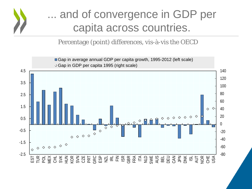

### ... and of convergence in GDP per capita across countries.

Percentage (point) differences, vis-à-vis the OECD

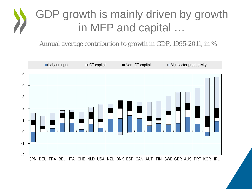### GDP growth is mainly driven by growth in MFP and capital …

Annual average contribution to growth in GDP, 1995-2011, in %

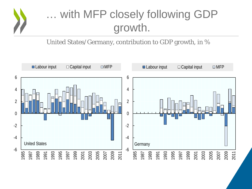

### … with MFP closely following GDP growth.

United States/Germany, contribution to GDP growth, in %

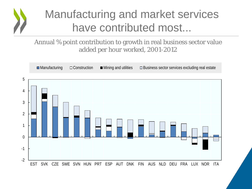

### Manufacturing and market services have contributed most...

### Annual % point contribution to growth in real business sector value added per hour worked, 2001-2012

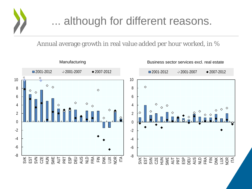

### ... although for different reasons.

Annual average growth in real value added per hour worked, in %

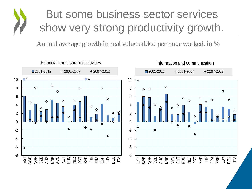### But some business sector services show very strong productivity growth.

Annual average growth in real value added per hour worked, in %

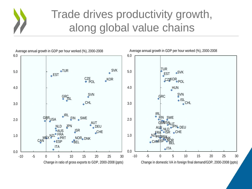### Trade drives productivity growth, along global value chains



Average annual growth in GDP per hour worked (%), 2000-2008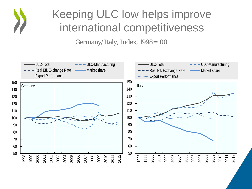

### Keeping ULC low helps improve international competitiveness

Germany/Italy, Index, 1998=100

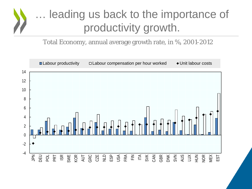### … leading us back to the importance of productivity growth.

Total Economy, annual average growth rate, in %, 2001-2012

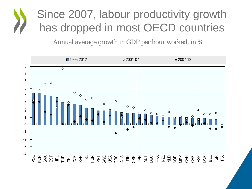## Since 2007, labour productivity growth has dropped in most OECD countries

Annual average growth in GDP per hour worked, in %

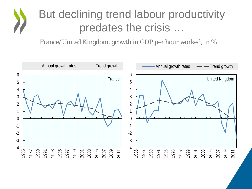### But declining trend labour productivity predates the crisis …

### France/United Kingdom, growth in GDP per hour worked, in %

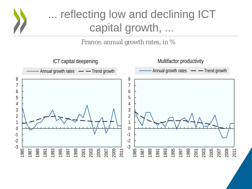

## ... reflecting low and declining ICT capital growth, ...

France, annual growth rates, in %

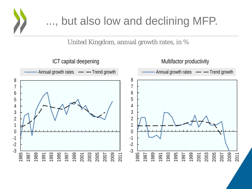

### ..., but also low and declining MFP.

United Kingdom, annual growth rates, in %